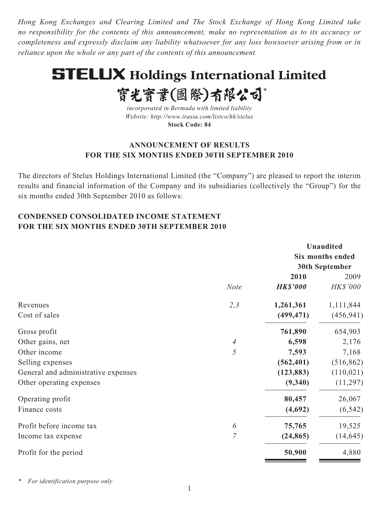*Hong Kong Exchanges and Clearing Limited and The Stock Exchange of Hong Kong Limited take no responsibility for the contents of this announcement, make no representation as to its accuracy or completeness and expressly disclaim any liability whatsoever for any loss howsoever arising from or in reliance upon the whole or any part of the contents of this announcement.*

# **STELUX Holdings International Limited**

實光實業(國際)有限公司\*

*incorporated in Bermuda with limited liability Website: http://www.irasia.com/listco/hk/stelux* **Stock Code: 84**

## **ANNOUNCEMENT OF RESULTS FOR THE SIX MONTHS ENDED 30TH SEPTEMBER 2010**

The directors of Stelux Holdings International Limited (the "Company") are pleased to report the interim results and financial information of the Company and its subsidiaries (collectively the "Group") for the six months ended 30th September 2010 as follows:

# **CONDENSED CONSOLIDATED INCOME STATEMENT FOR THE SIX MONTHS ENDED 30TH SEPTEMBER 2010**

|                                     |                |                 | <b>Unaudited</b>      |  |
|-------------------------------------|----------------|-----------------|-----------------------|--|
|                                     |                |                 | Six months ended      |  |
|                                     |                |                 | <b>30th September</b> |  |
|                                     |                | 2010            | 2009                  |  |
|                                     | <b>Note</b>    | <b>HK\$'000</b> | HK\$'000              |  |
| Revenues                            | 2,3            | 1,261,361       | 1,111,844             |  |
| Cost of sales                       |                | (499, 471)      | (456, 941)            |  |
| Gross profit                        |                | 761,890         | 654,903               |  |
| Other gains, net                    | 4              | 6,598           | 2,176                 |  |
| Other income                        | 5              | 7,593           | 7,168                 |  |
| Selling expenses                    |                | (562, 401)      | (516, 862)            |  |
| General and administrative expenses |                | (123, 883)      | (110, 021)            |  |
| Other operating expenses            |                | (9,340)         | (11,297)              |  |
| Operating profit                    |                | 80,457          | 26,067                |  |
| Finance costs                       |                | (4,692)         | (6, 542)              |  |
| Profit before income tax            | 6              | 75,765          | 19,525                |  |
| Income tax expense                  | $\overline{7}$ | (24, 865)       | (14, 645)             |  |
| Profit for the period               |                | 50,900          | 4,880                 |  |

*\* For identification purpose only*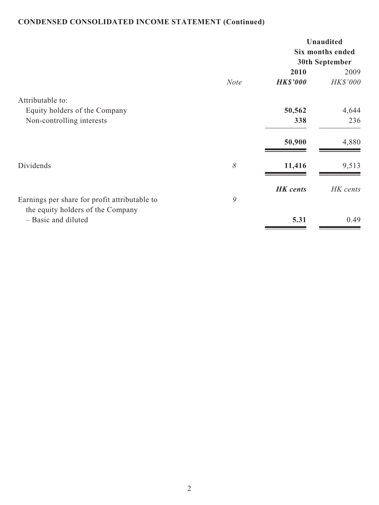# **CONDENSED CONSOLIDATED INCOME STATEMENT (Continued)**

|                                                                                    |             |                 | <b>Unaudited</b><br>Six months ended<br>30th September |  |
|------------------------------------------------------------------------------------|-------------|-----------------|--------------------------------------------------------|--|
|                                                                                    |             | 2010            | 2009                                                   |  |
|                                                                                    | <b>Note</b> | <b>HK\$'000</b> | <b>HK\$'000</b>                                        |  |
| Attributable to:                                                                   |             |                 |                                                        |  |
| Equity holders of the Company                                                      |             | 50,562          | 4,644                                                  |  |
| Non-controlling interests                                                          |             | 338             | 236                                                    |  |
|                                                                                    |             | 50,900          | 4,880                                                  |  |
| Dividends                                                                          | $\delta$    | 11,416          | 9,513                                                  |  |
|                                                                                    |             | <b>HK</b> cents | HK cents                                               |  |
| Earnings per share for profit attributable to<br>the equity holders of the Company | 9           |                 |                                                        |  |
| - Basic and diluted                                                                |             | 5.31            | 0.49                                                   |  |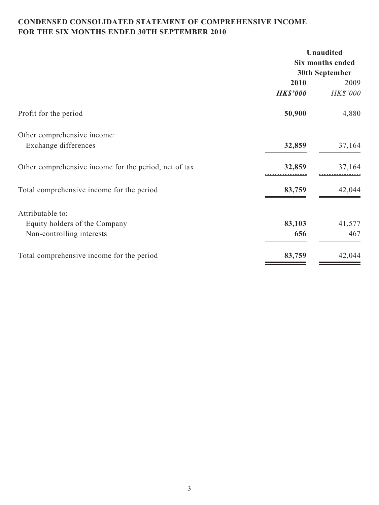# **CONDENSED CONSOLIDATED STATEMENT OF COMPREHENSIVE INCOME FOR THE SIX MONTHS ENDED 30TH SEPTEMBER 2010**

|                                                       | <b>Unaudited</b><br>Six months ended<br>30th September |          |  |
|-------------------------------------------------------|--------------------------------------------------------|----------|--|
|                                                       |                                                        |          |  |
|                                                       |                                                        |          |  |
|                                                       | 2010                                                   | 2009     |  |
|                                                       | <b>HK\$'000</b>                                        | HK\$'000 |  |
| Profit for the period                                 | 50,900                                                 | 4,880    |  |
| Other comprehensive income:                           |                                                        |          |  |
| Exchange differences                                  | 32,859                                                 | 37,164   |  |
| Other comprehensive income for the period, net of tax | 32,859                                                 | 37,164   |  |
| Total comprehensive income for the period             | 83,759                                                 | 42,044   |  |
| Attributable to:                                      |                                                        |          |  |
| Equity holders of the Company                         | 83,103                                                 | 41,577   |  |
| Non-controlling interests                             | 656                                                    | 467      |  |
| Total comprehensive income for the period             | 83,759                                                 | 42,044   |  |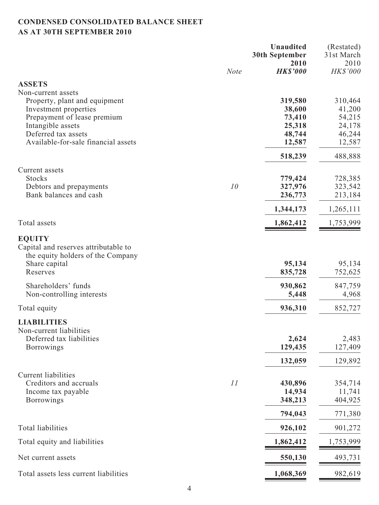# **CONDENSED CONSOLIDATED BALANCE SHEET AS AT 30TH SEPTEMBER 2010**

|                                                                                                                                                                             |             | <b>Unaudited</b><br><b>30th September</b><br>2010         | (Restated)<br>31st March<br>2010                          |
|-----------------------------------------------------------------------------------------------------------------------------------------------------------------------------|-------------|-----------------------------------------------------------|-----------------------------------------------------------|
|                                                                                                                                                                             | <b>Note</b> | <b>HK\$'000</b>                                           | HK\$'000                                                  |
| <b>ASSETS</b><br>Non-current assets                                                                                                                                         |             |                                                           |                                                           |
| Property, plant and equipment<br>Investment properties<br>Prepayment of lease premium<br>Intangible assets<br>Deferred tax assets<br>Available-for-sale financial assets    |             | 319,580<br>38,600<br>73,410<br>25,318<br>48,744<br>12,587 | 310,464<br>41,200<br>54,215<br>24,178<br>46,244<br>12,587 |
|                                                                                                                                                                             |             | 518,239                                                   | 488,888                                                   |
| Current assets<br><b>Stocks</b><br>Debtors and prepayments<br>Bank balances and cash                                                                                        | 10          | 779,424<br>327,976<br>236,773<br>1,344,173                | 728,385<br>323,542<br>213,184<br>1,265,111                |
| Total assets                                                                                                                                                                |             | 1,862,412                                                 | 1,753,999                                                 |
|                                                                                                                                                                             |             |                                                           |                                                           |
| <b>EQUITY</b><br>Capital and reserves attributable to<br>the equity holders of the Company<br>Share capital<br>Reserves<br>Shareholders' funds<br>Non-controlling interests |             | 95,134<br>835,728<br>930,862<br>5,448                     | 95,134<br>752,625<br>847,759<br>4,968                     |
| Total equity                                                                                                                                                                |             | 936,310                                                   | 852,727                                                   |
| <b>LIABILITIES</b><br>Non-current liabilities<br>Deferred tax liabilities<br><b>Borrowings</b>                                                                              |             | 2,624<br>129,435                                          | 2,483<br>127,409                                          |
|                                                                                                                                                                             |             | 132,059                                                   | 129,892                                                   |
| <b>Current liabilities</b><br>Creditors and accruals<br>Income tax payable<br><b>Borrowings</b>                                                                             | 11          | 430,896<br>14,934<br>348,213<br>794,043                   | 354,714<br>11,741<br>404,925<br>771,380                   |
| <b>Total liabilities</b>                                                                                                                                                    |             | 926,102                                                   | 901,272                                                   |
| Total equity and liabilities                                                                                                                                                |             | 1,862,412                                                 | 1,753,999                                                 |
| Net current assets                                                                                                                                                          |             | 550,130                                                   | 493,731                                                   |
| Total assets less current liabilities                                                                                                                                       |             | 1,068,369                                                 | 982,619                                                   |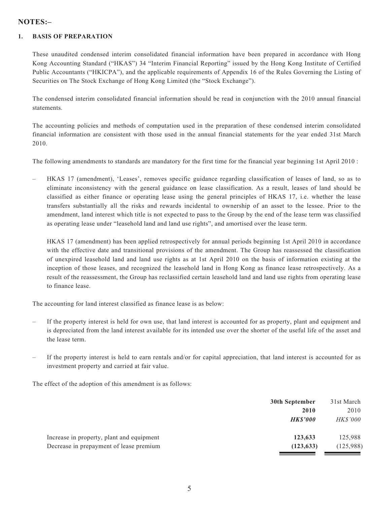## **NOTES:–**

#### **1. BASIS OF PREPARATION**

These unaudited condensed interim consolidated financial information have been prepared in accordance with Hong Kong Accounting Standard ("HKAS") 34 "Interim Financial Reporting" issued by the Hong Kong Institute of Certified Public Accountants ("HKICPA"), and the applicable requirements of Appendix 16 of the Rules Governing the Listing of Securities on The Stock Exchange of Hong Kong Limited (the "Stock Exchange").

The condensed interim consolidated financial information should be read in conjunction with the 2010 annual financial statements.

The accounting policies and methods of computation used in the preparation of these condensed interim consolidated financial information are consistent with those used in the annual financial statements for the year ended 31st March 2010.

The following amendments to standards are mandatory for the first time for the financial year beginning 1st April 2010 :

– HKAS 17 (amendment), 'Leases', removes specific guidance regarding classification of leases of land, so as to eliminate inconsistency with the general guidance on lease classification. As a result, leases of land should be classified as either finance or operating lease using the general principles of HKAS 17, i.e. whether the lease transfers substantially all the risks and rewards incidental to ownership of an asset to the lessee. Prior to the amendment, land interest which title is not expected to pass to the Group by the end of the lease term was classified as operating lease under "leasehold land and land use rights", and amortised over the lease term.

HKAS 17 (amendment) has been applied retrospectively for annual periods beginning 1st April 2010 in accordance with the effective date and transitional provisions of the amendment. The Group has reassessed the classification of unexpired leasehold land and land use rights as at 1st April 2010 on the basis of information existing at the inception of those leases, and recognized the leasehold land in Hong Kong as finance lease retrospectively. As a result of the reassessment, the Group has reclassified certain leasehold land and land use rights from operating lease to finance lease.

The accounting for land interest classified as finance lease is as below:

- If the property interest is held for own use, that land interest is accounted for as property, plant and equipment and is depreciated from the land interest available for its intended use over the shorter of the useful life of the asset and the lease term.
- If the property interest is held to earn rentals and/or for capital appreciation, that land interest is accounted for as investment property and carried at fair value.

The effect of the adoption of this amendment is as follows:

|                                           | 30th September | 31st March      |
|-------------------------------------------|----------------|-----------------|
|                                           | 2010           | 2010            |
|                                           | <b>HKS'000</b> | <i>HK\$'000</i> |
| Increase in property, plant and equipment | 123,633        | 125,988         |
| Decrease in prepayment of lease premium   | (123, 633)     | (125,988)       |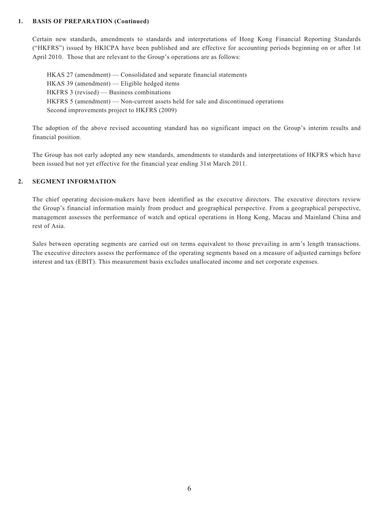#### **1. BASIS OF PREPARATION (Continued)**

Certain new standards, amendments to standards and interpretations of Hong Kong Financial Reporting Standards ("HKFRS") issued by HKICPA have been published and are effective for accounting periods beginning on or after 1st April 2010. Those that are relevant to the Group's operations are as follows:

HKAS 27 (amendment) — Consolidated and separate financial statements HKAS 39 (amendment) — Eligible hedged items HKFRS 3 (revised) — Business combinations HKFRS 5 (amendment) — Non-current assets held for sale and discontinued operations Second improvements project to HKFRS (2009)

The adoption of the above revised accounting standard has no significant impact on the Group's interim results and financial position.

The Group has not early adopted any new standards, amendments to standards and interpretations of HKFRS which have been issued but not yet effective for the financial year ending 31st March 2011.

#### **2. SEGMENT INFORMATION**

The chief operating decision-makers have been identified as the executive directors. The executive directors review the Group's financial information mainly from product and geographical perspective. From a geographical perspective, management assesses the performance of watch and optical operations in Hong Kong, Macau and Mainland China and rest of Asia.

Sales between operating segments are carried out on terms equivalent to those prevailing in arm's length transactions. The executive directors assess the performance of the operating segments based on a measure of adjusted earnings before interest and tax (EBIT). This measurement basis excludes unallocated income and net corporate expenses.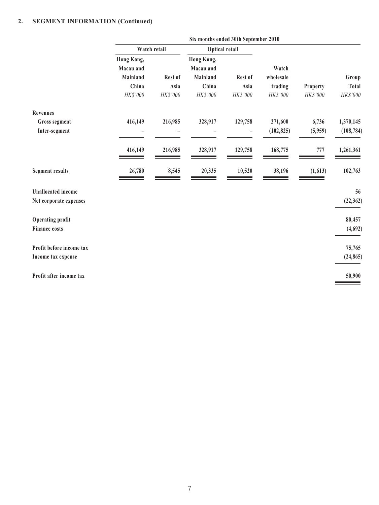### **2. SEGMENT INFORMATION (Continued)**

|                           | Six months ended 30th September 2010 |          |                         |                          |            |                 |            |
|---------------------------|--------------------------------------|----------|-------------------------|--------------------------|------------|-----------------|------------|
|                           | Watch retail                         |          | Optical retail          |                          |            |                 |            |
|                           | Hong Kong,<br>Macau and              |          | Hong Kong,<br>Macau and |                          | Watch      |                 |            |
|                           | Mainland                             | Rest of  | Mainland                | Rest of                  | wholesale  |                 | Group      |
|                           | China                                | Asia     | China                   | Asia                     | trading    | <b>Property</b> | Total      |
|                           | HK\$'000                             | HK\$'000 | HK\$'000                | HK\$'000                 | HK\$'000   | HK\$'000        | HK\$'000   |
| <b>Revenues</b>           |                                      |          |                         |                          |            |                 |            |
| <b>Gross segment</b>      | 416,149                              | 216,985  | 328,917                 | 129,758                  | 271,600    | 6,736           | 1,370,145  |
| Inter-segment             |                                      |          |                         | $\overline{\phantom{0}}$ | (102, 825) | (5,959)         | (108, 784) |
|                           | 416,149                              | 216,985  | 328,917                 | 129,758                  | 168,775    | 777             | 1,261,361  |
| <b>Segment results</b>    | 26,780                               | 8,545    | 20,335                  | 10,520                   | 38,196     | (1,613)         | 102,763    |
| <b>Unallocated</b> income |                                      |          |                         |                          |            |                 | 56         |
| Net corporate expenses    |                                      |          |                         |                          |            |                 | (22, 362)  |
| <b>Operating profit</b>   |                                      |          |                         |                          |            |                 | 80,457     |
| <b>Finance costs</b>      |                                      |          |                         |                          |            |                 | (4,692)    |
| Profit before income tax  |                                      |          |                         |                          |            |                 | 75,765     |
| Income tax expense        |                                      |          |                         |                          |            |                 | (24, 865)  |
| Profit after income tax   |                                      |          |                         |                          |            |                 | 50,900     |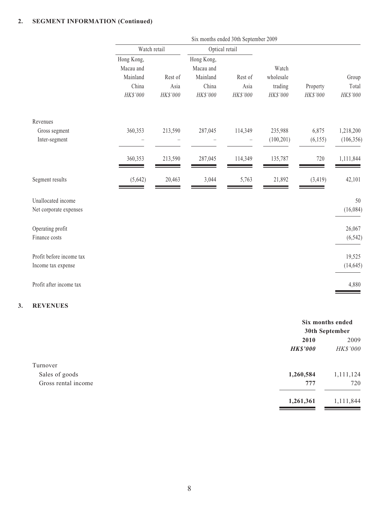## **2. SEGMENT INFORMATION (Continued)**

|                          | Six months ended 30th September 2009 |          |                         |          |            |          |            |
|--------------------------|--------------------------------------|----------|-------------------------|----------|------------|----------|------------|
|                          | Watch retail                         |          | Optical retail          |          |            |          |            |
|                          | Hong Kong,<br>Macau and              |          | Hong Kong,<br>Macau and |          | Watch      |          |            |
|                          | Mainland                             | Rest of  | Mainland                | Rest of  | wholesale  |          | Group      |
|                          | China                                | Asia     | China                   | Asia     | trading    | Property | Total      |
|                          | HK\$'000                             | HK\$'000 | HK\$'000                | HK\$'000 | HK\$'000   | HK\$'000 | $HK\$ '000 |
| Revenues                 |                                      |          |                         |          |            |          |            |
| Gross segment            | 360,353                              | 213,590  | 287,045                 | 114,349  | 235,988    | 6,875    | 1,218,200  |
| Inter-segment            |                                      |          |                         |          | (100, 201) | (6, 155) | (106, 356) |
|                          | 360,353                              | 213,590  | 287,045                 | 114,349  | 135,787    | 720      | 1,111,844  |
| Segment results          | (5,642)                              | 20,463   | 3,044                   | 5,763    | 21,892     | (3, 419) | 42,101     |
| Unallocated income       |                                      |          |                         |          |            |          | 50         |
| Net corporate expenses   |                                      |          |                         |          |            |          | (16,084)   |
| Operating profit         |                                      |          |                         |          |            |          | 26,067     |
| Finance costs            |                                      |          |                         |          |            |          | (6, 542)   |
| Profit before income tax |                                      |          |                         |          |            |          | 19,525     |
| Income tax expense       |                                      |          |                         |          |            |          | (14, 645)  |
| Profit after income tax  |                                      |          |                         |          |            |          | 4,880      |

## **3. REVENUES**

|                     |                 | Six months ended |  |  |
|---------------------|-----------------|------------------|--|--|
|                     |                 | 30th September   |  |  |
|                     | 2010            | 2009             |  |  |
|                     | <b>HK\$'000</b> | HK\$'000         |  |  |
| Turnover            |                 |                  |  |  |
| Sales of goods      | 1,260,584       | 1,111,124        |  |  |
| Gross rental income | 777             | 720              |  |  |
|                     | 1,261,361       | 1,111,844        |  |  |
|                     |                 |                  |  |  |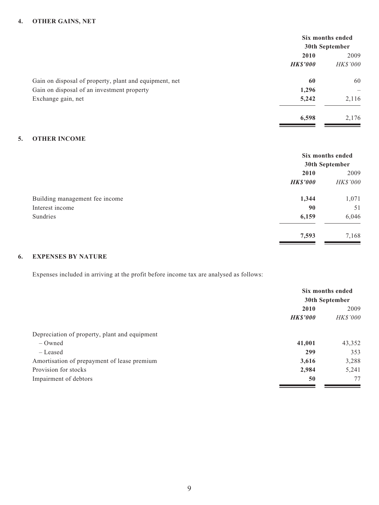#### **4. OTHER GAINS, NET**

| Six months ended |                          |
|------------------|--------------------------|
| 30th September   |                          |
| 2010             | 2009                     |
| <b>HK\$'000</b>  | <i>HK\$'000</i>          |
| 60               | 60                       |
| 1,296            | $\overline{\phantom{0}}$ |
| 5,242            | 2,116                    |
| 6,598            | 2,176                    |
|                  |                          |

#### **5. OTHER INCOME**

|                                | Six months ended |          |
|--------------------------------|------------------|----------|
|                                | 30th September   |          |
|                                | 2010             |          |
|                                | <b>HK\$'000</b>  | HK\$'000 |
| Building management fee income | 1,344            | 1,071    |
| Interest income                | 90               | 51       |
| Sundries                       | 6,159            | 6,046    |
|                                | 7,593            | 7,168    |

#### **6. EXPENSES BY NATURE**

Expenses included in arriving at the profit before income tax are analysed as follows:

|                                               | Six months ended |          |  |
|-----------------------------------------------|------------------|----------|--|
|                                               | 30th September   |          |  |
|                                               | 2010             |          |  |
|                                               | <b>HK\$'000</b>  | HK\$'000 |  |
| Depreciation of property, plant and equipment |                  |          |  |
| $-$ Owned                                     | 41,001           | 43,352   |  |
| – Leased                                      | 299              | 353      |  |
| Amortisation of prepayment of lease premium   | 3,616            | 3,288    |  |
| Provision for stocks                          | 2,984            | 5,241    |  |
| Impairment of debtors                         | 50               | 77       |  |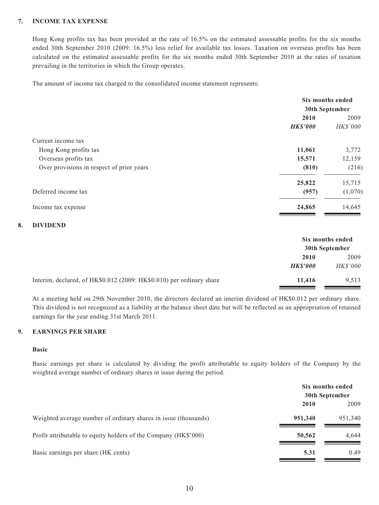#### **7. INCOME TAX EXPENSE**

Hong Kong profits tax has been provided at the rate of 16.5% on the estimated assessable profits for the six months ended 30th September 2010 (2009: 16.5%) less relief for available tax losses. Taxation on overseas profits has been calculated on the estimated assessable profits for the six months ended 30th September 2010 at the rates of taxation prevailing in the territories in which the Group operates.

The amount of income tax charged to the consolidated income statement represents:

|                                           | Six months ended |          |  |
|-------------------------------------------|------------------|----------|--|
|                                           | 30th September   |          |  |
|                                           | 2010             |          |  |
|                                           | <b>HK\$'000</b>  | HK\$'000 |  |
| Current income tax                        |                  |          |  |
| Hong Kong profits tax                     | 11,061           | 3,772    |  |
| Overseas profits tax                      | 15,571           | 12,159   |  |
| Over provisions in respect of prior years | (810)            | (216)    |  |
|                                           | 25,822           | 15,715   |  |
| Deferred income tax                       | (957)            | (1,070)  |  |
| Income tax expense                        | 24,865           | 14,645   |  |

#### **8. DIVIDEND**

|                                                                      | Six months ended<br>30th September |                 |
|----------------------------------------------------------------------|------------------------------------|-----------------|
|                                                                      |                                    |                 |
|                                                                      | 2010                               | 2009            |
|                                                                      | <b>HKS'000</b>                     | <b>HK\$'000</b> |
| Interim, declared, of HK\$0.012 (2009: HK\$0.010) per ordinary share | 11,416                             | 9,513           |

At a meeting held on 29th November 2010, the directors declared an interim dividend of HK\$0.012 per ordinary share. This dividend is not recognized as a liability at the balance sheet date but will be reflected as an appropriation of retained earnings for the year ending 31st March 2011.

#### **9. EARNINGS PER SHARE**

#### **Basic**

Basic earnings per share is calculated by dividing the profit attributable to equity holders of the Company by the weighted average number of ordinary shares in issue during the period.

|                                                                 | Six months ended<br>30th September |         |
|-----------------------------------------------------------------|------------------------------------|---------|
|                                                                 | 2010                               | 2009    |
| Weighted average number of ordinary shares in issue (thousands) | 951,340                            | 951,340 |
| Profit attributable to equity holders of the Company (HK\$'000) | 50,562                             | 4,644   |
| Basic earnings per share (HK cents)                             | 5.31                               | 0.49    |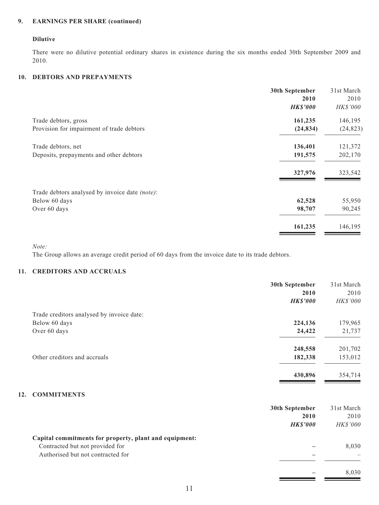#### **9. EARNINGS PER SHARE (continued)**

#### **Dilutive**

There were no dilutive potential ordinary shares in existence during the six months ended 30th September 2009 and 2010.

#### **10. DEBTORS AND PREPAYMENTS**

|                                                | 30th September  | 31st March |
|------------------------------------------------|-----------------|------------|
|                                                | 2010            | 2010       |
|                                                | <b>HK\$'000</b> | HK\$'000   |
| Trade debtors, gross                           | 161,235         | 146,195    |
| Provision for impairment of trade debtors      | (24, 834)       | (24, 823)  |
| Trade debtors, net                             | 136,401         | 121,372    |
| Deposits, prepayments and other debtors        | 191,575         | 202,170    |
|                                                | 327,976         | 323,542    |
| Trade debtors analysed by invoice date (note): |                 |            |
| Below 60 days                                  | 62,528          | 55,950     |
| Over 60 days                                   | 98,707          | 90,245     |
|                                                | 161,235         | 146,195    |

*Note:*

The Group allows an average credit period of 60 days from the invoice date to its trade debtors.

#### **11. CREDITORS AND ACCRUALS**

|                                                            | 30th September<br>2010<br><b>HK\$'000</b> | 31st March<br>2010<br>HK\$'000 |
|------------------------------------------------------------|-------------------------------------------|--------------------------------|
|                                                            |                                           |                                |
| Trade creditors analysed by invoice date:<br>Below 60 days | 224,136                                   | 179,965                        |
| Over 60 days                                               | 24,422                                    | 21,737                         |
|                                                            | 248,558                                   | 201,702                        |
| Other creditors and accruals                               | 182,338                                   | 153,012                        |
|                                                            | 430,896                                   | 354,714                        |

#### **12. COMMITMENTS**

|                                                                                                                                | 30th September<br>2010<br><b>HKS'000</b> | 31st March<br>2010<br><i>HK\$'000</i> |
|--------------------------------------------------------------------------------------------------------------------------------|------------------------------------------|---------------------------------------|
| Capital commitments for property, plant and equipment:<br>Contracted but not provided for<br>Authorised but not contracted for |                                          | 8,030                                 |
|                                                                                                                                |                                          | 8,030                                 |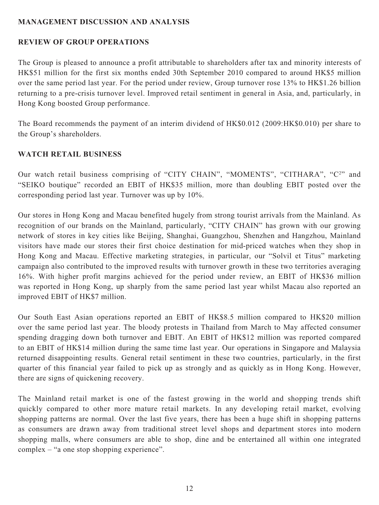## **MANAGEMENT DISCUSSION AND ANALYSIS**

## **REVIEW OF GROUP OPERATIONS**

The Group is pleased to announce a profit attributable to shareholders after tax and minority interests of HK\$51 million for the first six months ended 30th September 2010 compared to around HK\$5 million over the same period last year. For the period under review, Group turnover rose 13% to HK\$1.26 billion returning to a pre-crisis turnover level. Improved retail sentiment in general in Asia, and, particularly, in Hong Kong boosted Group performance.

The Board recommends the payment of an interim dividend of HK\$0.012 (2009:HK\$0.010) per share to the Group's shareholders.

## **WATCH RETAIL BUSINESS**

Our watch retail business comprising of "CITY CHAIN", "MOMENTS", "CITHARA", "C<sup>2</sup>" and "SEIKO boutique" recorded an EBIT of HK\$35 million, more than doubling EBIT posted over the corresponding period last year. Turnover was up by 10%.

Our stores in Hong Kong and Macau benefited hugely from strong tourist arrivals from the Mainland. As recognition of our brands on the Mainland, particularly, "CITY CHAIN" has grown with our growing network of stores in key cities like Beijing, Shanghai, Guangzhou, Shenzhen and Hangzhou, Mainland visitors have made our stores their first choice destination for mid-priced watches when they shop in Hong Kong and Macau. Effective marketing strategies, in particular, our "Solvil et Titus" marketing campaign also contributed to the improved results with turnover growth in these two territories averaging 16%. With higher profit margins achieved for the period under review, an EBIT of HK\$36 million was reported in Hong Kong, up sharply from the same period last year whilst Macau also reported an improved EBIT of HK\$7 million.

Our South East Asian operations reported an EBIT of HK\$8.5 million compared to HK\$20 million over the same period last year. The bloody protests in Thailand from March to May affected consumer spending dragging down both turnover and EBIT. An EBIT of HK\$12 million was reported compared to an EBIT of HK\$14 million during the same time last year. Our operations in Singapore and Malaysia returned disappointing results. General retail sentiment in these two countries, particularly, in the first quarter of this financial year failed to pick up as strongly and as quickly as in Hong Kong. However, there are signs of quickening recovery.

The Mainland retail market is one of the fastest growing in the world and shopping trends shift quickly compared to other more mature retail markets. In any developing retail market, evolving shopping patterns are normal. Over the last five years, there has been a huge shift in shopping patterns as consumers are drawn away from traditional street level shops and department stores into modern shopping malls, where consumers are able to shop, dine and be entertained all within one integrated complex – "a one stop shopping experience".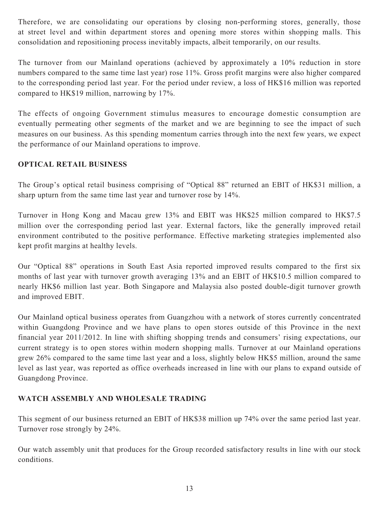Therefore, we are consolidating our operations by closing non-performing stores, generally, those at street level and within department stores and opening more stores within shopping malls. This consolidation and repositioning process inevitably impacts, albeit temporarily, on our results.

The turnover from our Mainland operations (achieved by approximately a 10% reduction in store numbers compared to the same time last year) rose 11%. Gross profit margins were also higher compared to the corresponding period last year. For the period under review, a loss of HK\$16 million was reported compared to HK\$19 million, narrowing by 17%.

The effects of ongoing Government stimulus measures to encourage domestic consumption are eventually permeating other segments of the market and we are beginning to see the impact of such measures on our business. As this spending momentum carries through into the next few years, we expect the performance of our Mainland operations to improve.

# **OPTICAL RETAIL BUSINESS**

The Group's optical retail business comprising of "Optical 88" returned an EBIT of HK\$31 million, a sharp upturn from the same time last year and turnover rose by 14%.

Turnover in Hong Kong and Macau grew 13% and EBIT was HK\$25 million compared to HK\$7.5 million over the corresponding period last year. External factors, like the generally improved retail environment contributed to the positive performance. Effective marketing strategies implemented also kept profit margins at healthy levels.

Our "Optical 88" operations in South East Asia reported improved results compared to the first six months of last year with turnover growth averaging 13% and an EBIT of HK\$10.5 million compared to nearly HK\$6 million last year. Both Singapore and Malaysia also posted double-digit turnover growth and improved EBIT.

Our Mainland optical business operates from Guangzhou with a network of stores currently concentrated within Guangdong Province and we have plans to open stores outside of this Province in the next financial year 2011/2012. In line with shifting shopping trends and consumers' rising expectations, our current strategy is to open stores within modern shopping malls. Turnover at our Mainland operations grew 26% compared to the same time last year and a loss, slightly below HK\$5 million, around the same level as last year, was reported as office overheads increased in line with our plans to expand outside of Guangdong Province.

# **WATCH ASSEMBLY AND WHOLESALE TRADING**

This segment of our business returned an EBIT of HK\$38 million up 74% over the same period last year. Turnover rose strongly by 24%.

Our watch assembly unit that produces for the Group recorded satisfactory results in line with our stock conditions.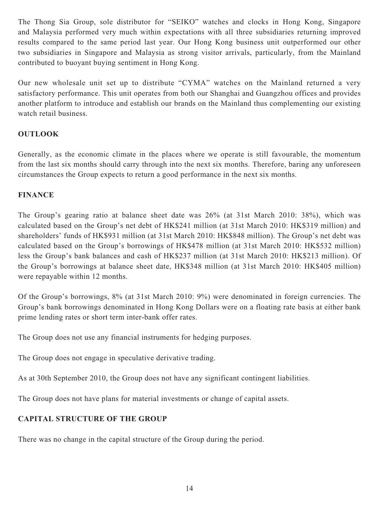The Thong Sia Group, sole distributor for "SEIKO" watches and clocks in Hong Kong, Singapore and Malaysia performed very much within expectations with all three subsidiaries returning improved results compared to the same period last year. Our Hong Kong business unit outperformed our other two subsidiaries in Singapore and Malaysia as strong visitor arrivals, particularly, from the Mainland contributed to buoyant buying sentiment in Hong Kong.

Our new wholesale unit set up to distribute "CYMA" watches on the Mainland returned a very satisfactory performance. This unit operates from both our Shanghai and Guangzhou offices and provides another platform to introduce and establish our brands on the Mainland thus complementing our existing watch retail business.

# **OUTLOOK**

Generally, as the economic climate in the places where we operate is still favourable, the momentum from the last six months should carry through into the next six months. Therefore, baring any unforeseen circumstances the Group expects to return a good performance in the next six months.

## **FINANCE**

The Group's gearing ratio at balance sheet date was 26% (at 31st March 2010: 38%), which was calculated based on the Group's net debt of HK\$241 million (at 31st March 2010: HK\$319 million) and shareholders' funds of HK\$931 million (at 31st March 2010: HK\$848 million). The Group's net debt was calculated based on the Group's borrowings of HK\$478 million (at 31st March 2010: HK\$532 million) less the Group's bank balances and cash of HK\$237 million (at 31st March 2010: HK\$213 million). Of the Group's borrowings at balance sheet date, HK\$348 million (at 31st March 2010: HK\$405 million) were repayable within 12 months.

Of the Group's borrowings, 8% (at 31st March 2010: 9%) were denominated in foreign currencies. The Group's bank borrowings denominated in Hong Kong Dollars were on a floating rate basis at either bank prime lending rates or short term inter-bank offer rates.

The Group does not use any financial instruments for hedging purposes.

The Group does not engage in speculative derivative trading.

As at 30th September 2010, the Group does not have any significant contingent liabilities.

The Group does not have plans for material investments or change of capital assets.

# **CAPITAL STRUCTURE OF THE GROUP**

There was no change in the capital structure of the Group during the period.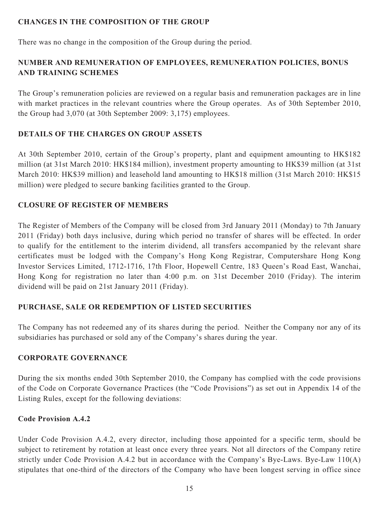# **CHANGES IN THE COMPOSITION OF THE GROUP**

There was no change in the composition of the Group during the period.

# **NUMBER AND REMUNERATION OF EMPLOYEES, REMUNERATION POLICIES, BONUS AND TRAINING SCHEMES**

The Group's remuneration policies are reviewed on a regular basis and remuneration packages are in line with market practices in the relevant countries where the Group operates. As of 30th September 2010, the Group had 3,070 (at 30th September 2009: 3,175) employees.

# **DETAILS OF THE CHARGES ON GROUP ASSETS**

At 30th September 2010, certain of the Group's property, plant and equipment amounting to HK\$182 million (at 31st March 2010: HK\$184 million), investment property amounting to HK\$39 million (at 31st March 2010: HK\$39 million) and leasehold land amounting to HK\$18 million (31st March 2010: HK\$15 million) were pledged to secure banking facilities granted to the Group.

# **CLOSURE OF REGISTER OF MEMBERS**

The Register of Members of the Company will be closed from 3rd January 2011 (Monday) to 7th January 2011 (Friday) both days inclusive, during which period no transfer of shares will be effected. In order to qualify for the entitlement to the interim dividend, all transfers accompanied by the relevant share certificates must be lodged with the Company's Hong Kong Registrar, Computershare Hong Kong Investor Services Limited, 1712-1716, 17th Floor, Hopewell Centre, 183 Queen's Road East, Wanchai, Hong Kong for registration no later than 4:00 p.m. on 31st December 2010 (Friday). The interim dividend will be paid on 21st January 2011 (Friday).

# **PURCHASE, SALE OR REDEMPTION OF LISTED SECURITIES**

The Company has not redeemed any of its shares during the period. Neither the Company nor any of its subsidiaries has purchased or sold any of the Company's shares during the year.

# **CORPORATE GOVERNANCE**

During the six months ended 30th September 2010, the Company has complied with the code provisions of the Code on Corporate Governance Practices (the "Code Provisions") as set out in Appendix 14 of the Listing Rules, except for the following deviations:

# **Code Provision A.4.2**

Under Code Provision A.4.2, every director, including those appointed for a specific term, should be subject to retirement by rotation at least once every three years. Not all directors of the Company retire strictly under Code Provision A.4.2 but in accordance with the Company's Bye-Laws. Bye-Law 110(A) stipulates that one-third of the directors of the Company who have been longest serving in office since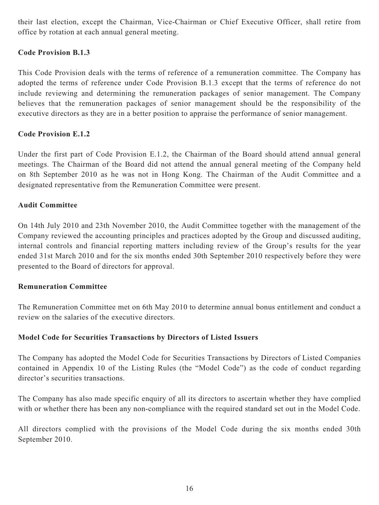their last election, except the Chairman, Vice-Chairman or Chief Executive Officer, shall retire from office by rotation at each annual general meeting.

## **Code Provision B.1.3**

This Code Provision deals with the terms of reference of a remuneration committee. The Company has adopted the terms of reference under Code Provision B.1.3 except that the terms of reference do not include reviewing and determining the remuneration packages of senior management. The Company believes that the remuneration packages of senior management should be the responsibility of the executive directors as they are in a better position to appraise the performance of senior management.

## **Code Provision E.1.2**

Under the first part of Code Provision E.1.2, the Chairman of the Board should attend annual general meetings. The Chairman of the Board did not attend the annual general meeting of the Company held on 8th September 2010 as he was not in Hong Kong. The Chairman of the Audit Committee and a designated representative from the Remuneration Committee were present.

## **Audit Committee**

On 14th July 2010 and 23th November 2010, the Audit Committee together with the management of the Company reviewed the accounting principles and practices adopted by the Group and discussed auditing, internal controls and financial reporting matters including review of the Group's results for the year ended 31st March 2010 and for the six months ended 30th September 2010 respectively before they were presented to the Board of directors for approval.

## **Remuneration Committee**

The Remuneration Committee met on 6th May 2010 to determine annual bonus entitlement and conduct a review on the salaries of the executive directors.

## **Model Code for Securities Transactions by Directors of Listed Issuers**

The Company has adopted the Model Code for Securities Transactions by Directors of Listed Companies contained in Appendix 10 of the Listing Rules (the "Model Code") as the code of conduct regarding director's securities transactions.

The Company has also made specific enquiry of all its directors to ascertain whether they have complied with or whether there has been any non-compliance with the required standard set out in the Model Code.

All directors complied with the provisions of the Model Code during the six months ended 30th September 2010.